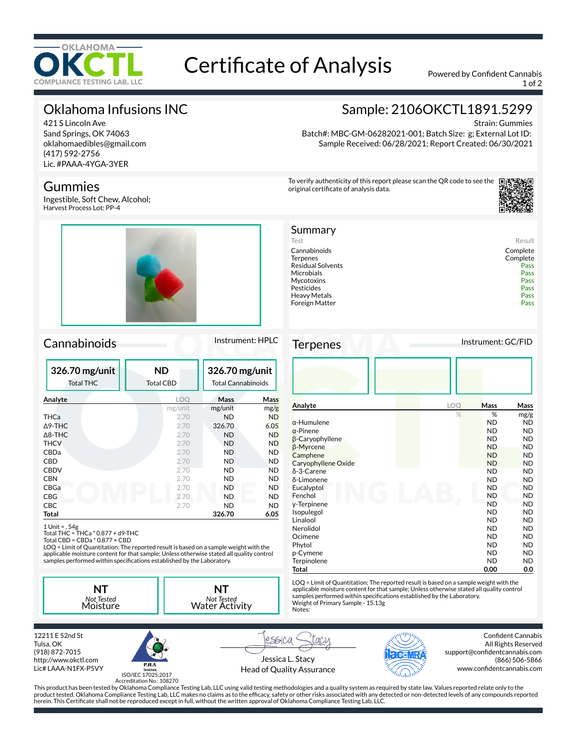

# Certificate of Analysis Powered by Confident Cannabis

1 of 2

# Oklahoma Infusions INC

421 S Lincoln Ave Sand Springs, OK 74063 oklahomaedibles@gmail.com (417) 592-2756 Lic. #PAAA-4YGA-3YER

### Gummies

Ingestible, Soft Chew, Alcohol; Harvest Process Lot: PP-4



### Cannabinoids Instrument: HPLC

| 326.70 mg/unit<br><b>Total THC</b> | <b>ND</b><br><b>Total CBD</b> | 326.70 mg/unit<br><b>Total Cannabinoids</b> |             |
|------------------------------------|-------------------------------|---------------------------------------------|-------------|
| Analyte                            | <b>LOO</b>                    | Mass                                        | <b>Mass</b> |
|                                    | mg/unit                       | mg/unit                                     | mg/g        |
| THCa                               | 2.70                          | <b>ND</b>                                   | <b>ND</b>   |
| $\triangle$ 9-THC                  | 2.70                          | 326.70                                      | 6.05        |
| $\triangle$ 8-THC                  | 2.70                          | <b>ND</b>                                   | <b>ND</b>   |
| <b>THCV</b>                        | 2.70                          | <b>ND</b>                                   | <b>ND</b>   |
| CBDa                               | 2.70                          | <b>ND</b>                                   | <b>ND</b>   |
| CBD                                | 2.70                          | <b>ND</b>                                   | <b>ND</b>   |
| <b>CBDV</b>                        | 2.70                          | ND                                          | <b>ND</b>   |
| <b>CBN</b>                         | 2.70                          | ND                                          | ND.         |
| CBGa                               | 2.70                          | <b>ND</b>                                   | ND          |
| <b>CBG</b>                         | 2.70                          | <b>ND</b>                                   | ND          |
| <b>CBC</b>                         | 2.70                          | ND                                          | <b>ND</b>   |
| Total                              |                               | 326.70                                      | 6.05        |

1 Unit = , 54g Total THC = THCa \* 0.877 + d9-THC Total CBD = CBDa \* 0.877 + CBD

LOQ = Limit of Quantitation; The reported result is based on a sample weight with the applicable moisture content for that sample; Unless otherwise stated all quality control<br>samples performed within specifications established by the Laboratory.

**NT** *Not Tested* Moisture



# Sample: 2106OKCTL1891.5299

Strain: Gummies

Batch#: MBC-GM-06282021-001; Batch Size: g; External Lot ID: Sample Received: 06/28/2021; Report Created: 06/30/2021

To verify authenticity of this report please scan the QR code to see the original certificate of analysis data.



| Summary                  |          |
|--------------------------|----------|
| Test                     | Result   |
| Cannabinoids             | Complete |
| Terpenes                 | Complete |
| <b>Residual Solvents</b> | Pass     |
| Microbials               | Pass     |
| Mycotoxins               | Pass     |
| Pesticides               | Pass     |
| Heavy Metals             | Pass     |
| Foreign Matter           | Pass     |
|                          |          |

Terpenes Instrument: GC/FID

| . p.                   |     |             |           |
|------------------------|-----|-------------|-----------|
|                        |     |             |           |
| Analyte                | LOQ | <b>Mass</b> | Mass      |
|                        | %   | %           | mg/g      |
| $\alpha$ -Humulene     |     | <b>ND</b>   | <b>ND</b> |
| $\alpha$ -Pinene       |     | <b>ND</b>   | <b>ND</b> |
| $\beta$ -Caryophyllene |     | <b>ND</b>   | <b>ND</b> |
| β-Myrcene              |     | <b>ND</b>   | <b>ND</b> |
| Camphene               |     | <b>ND</b>   | <b>ND</b> |
| Caryophyllene Oxide    |     | <b>ND</b>   | <b>ND</b> |
| $\delta$ -3-Carene     |     | <b>ND</b>   | <b>ND</b> |
| δ-Limonene             |     | <b>ND</b>   | <b>ND</b> |
| Eucalyptol             |     | <b>ND</b>   | <b>ND</b> |
| Fenchol                |     | <b>ND</b>   | <b>ND</b> |
| y-Terpinene            |     | <b>ND</b>   | <b>ND</b> |
| Isopulegol             |     | <b>ND</b>   | <b>ND</b> |
| Linalool               |     | <b>ND</b>   | <b>ND</b> |
| Nerolidol              |     | <b>ND</b>   | <b>ND</b> |
| Ocimene                |     | <b>ND</b>   | <b>ND</b> |
| Phytol                 |     | <b>ND</b>   | <b>ND</b> |
| p-Cymene               |     | <b>ND</b>   | <b>ND</b> |
| Terpinolene            |     | <b>ND</b>   | <b>ND</b> |
| Total                  |     | 0.00        | 0.0       |

LOQ = Limit of Quantitation; The reported result is based on a sample weight with the applicable moisture content for that sample; Unless otherwise stated all quality control samples performed within specifications established by the Laboratory.<br>Weight of Primary Sample - 15.13g Notes:

12211 E 52nd St Tulsa, OK (918) 872-7015 http://www.okctl.com Lic# LAAA-N1FX-P5VY



Jessica L. Stacy Head of Quality Assurance



Confident Cannabis All Rights Reserved support@confidentcannabis.com (866) 506-5866 www.confidentcannabis.com

Accreditation No.: 108270

rssica

This product has been tested by Oklahoma Compliance Testing Lab, LLC using valid testing methodologies and a quality system as required by state law. Values reported relate only to the product tested. Oklahoma Compliance Testing Lab, LLC makes no claims as to the efcacy, safety or other risks associated with any detected or non-detected levels of any compounds reported herein. This Certificate shall not be reproduced except in full, without the written approval of Oklahoma Compliance Testing Lab, LLC.